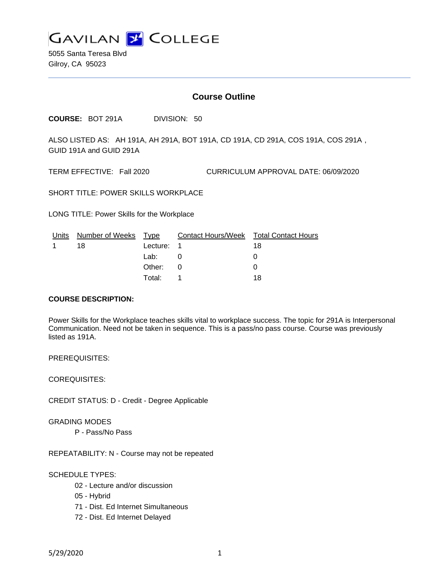

5055 Santa Teresa Blvd Gilroy, CA 95023

# **Course Outline**

**COURSE:** BOT 291A DIVISION: 50

ALSO LISTED AS: AH 191A, AH 291A, BOT 191A, CD 191A, CD 291A, COS 191A, COS 291A , GUID 191A and GUID 291A

TERM EFFECTIVE: Fall 2020 CURRICULUM APPROVAL DATE: 06/09/2020

SHORT TITLE: POWER SKILLS WORKPLACE

LONG TITLE: Power Skills for the Workplace

| Units | <u>Number of Weeks Type</u> |            | Contact Hours/Week Total Contact Hours |    |
|-------|-----------------------------|------------|----------------------------------------|----|
|       | 18                          | Lecture: 1 |                                        | 18 |
|       |                             | Lab:       |                                        |    |
|       |                             | Other:     |                                        |    |
|       |                             | Total:     |                                        | 18 |

#### **COURSE DESCRIPTION:**

Power Skills for the Workplace teaches skills vital to workplace success. The topic for 291A is Interpersonal Communication. Need not be taken in sequence. This is a pass/no pass course. Course was previously listed as 191A.

PREREQUISITES:

COREQUISITES:

CREDIT STATUS: D - Credit - Degree Applicable

GRADING MODES

P - Pass/No Pass

REPEATABILITY: N - Course may not be repeated

#### SCHEDULE TYPES:

- 02 Lecture and/or discussion
- 05 Hybrid
- 71 Dist. Ed Internet Simultaneous
- 72 Dist. Ed Internet Delayed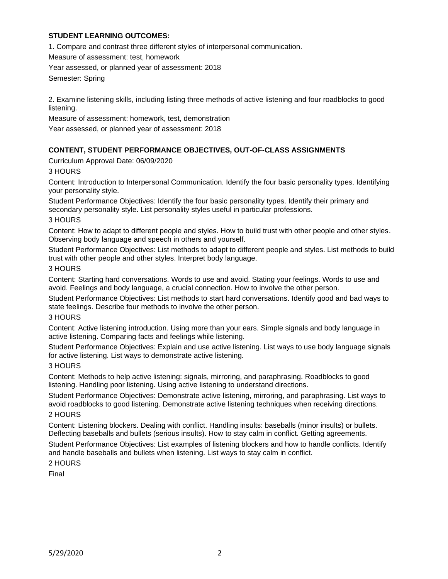# **STUDENT LEARNING OUTCOMES:**

1. Compare and contrast three different styles of interpersonal communication.

Measure of assessment: test, homework

Year assessed, or planned year of assessment: 2018

Semester: Spring

2. Examine listening skills, including listing three methods of active listening and four roadblocks to good listening.

Measure of assessment: homework, test, demonstration

Year assessed, or planned year of assessment: 2018

# **CONTENT, STUDENT PERFORMANCE OBJECTIVES, OUT-OF-CLASS ASSIGNMENTS**

Curriculum Approval Date: 06/09/2020

# 3 HOURS

Content: Introduction to Interpersonal Communication. Identify the four basic personality types. Identifying your personality style.

Student Performance Objectives: Identify the four basic personality types. Identify their primary and secondary personality style. List personality styles useful in particular professions.

### 3 HOURS

Content: How to adapt to different people and styles. How to build trust with other people and other styles. Observing body language and speech in others and yourself.

Student Performance Objectives: List methods to adapt to different people and styles. List methods to build trust with other people and other styles. Interpret body language.

### 3 HOURS

Content: Starting hard conversations. Words to use and avoid. Stating your feelings. Words to use and avoid. Feelings and body language, a crucial connection. How to involve the other person.

Student Performance Objectives: List methods to start hard conversations. Identify good and bad ways to state feelings. Describe four methods to involve the other person.

## 3 HOURS

Content: Active listening introduction. Using more than your ears. Simple signals and body language in active listening. Comparing facts and feelings while listening.

Student Performance Objectives: Explain and use active listening. List ways to use body language signals for active listening. List ways to demonstrate active listening.

## 3 HOURS

Content: Methods to help active listening: signals, mirroring, and paraphrasing. Roadblocks to good listening. Handling poor listening. Using active listening to understand directions.

Student Performance Objectives: Demonstrate active listening, mirroring, and paraphrasing. List ways to avoid roadblocks to good listening. Demonstrate active listening techniques when receiving directions.

# 2 HOURS

Content: Listening blockers. Dealing with conflict. Handling insults: baseballs (minor insults) or bullets. Deflecting baseballs and bullets (serious insults). How to stay calm in conflict. Getting agreements.

Student Performance Objectives: List examples of listening blockers and how to handle conflicts. Identify and handle baseballs and bullets when listening. List ways to stay calm in conflict.

# 2 HOURS

Final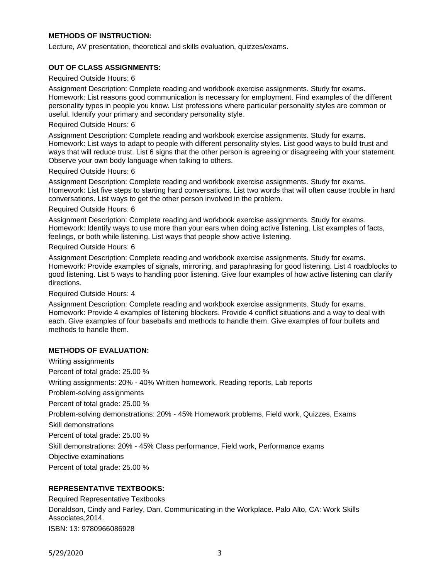## **METHODS OF INSTRUCTION:**

Lecture, AV presentation, theoretical and skills evaluation, quizzes/exams.

#### **OUT OF CLASS ASSIGNMENTS:**

#### Required Outside Hours: 6

Assignment Description: Complete reading and workbook exercise assignments. Study for exams. Homework: List reasons good communication is necessary for employment. Find examples of the different personality types in people you know. List professions where particular personality styles are common or useful. Identify your primary and secondary personality style.

#### Required Outside Hours: 6

Assignment Description: Complete reading and workbook exercise assignments. Study for exams. Homework: List ways to adapt to people with different personality styles. List good ways to build trust and ways that will reduce trust. List 6 signs that the other person is agreeing or disagreeing with your statement. Observe your own body language when talking to others.

#### Required Outside Hours: 6

Assignment Description: Complete reading and workbook exercise assignments. Study for exams. Homework: List five steps to starting hard conversations. List two words that will often cause trouble in hard conversations. List ways to get the other person involved in the problem.

#### Required Outside Hours: 6

Assignment Description: Complete reading and workbook exercise assignments. Study for exams. Homework: Identify ways to use more than your ears when doing active listening. List examples of facts, feelings, or both while listening. List ways that people show active listening.

#### Required Outside Hours: 6

Assignment Description: Complete reading and workbook exercise assignments. Study for exams. Homework: Provide examples of signals, mirroring, and paraphrasing for good listening. List 4 roadblocks to good listening. List 5 ways to handling poor listening. Give four examples of how active listening can clarify directions.

Required Outside Hours: 4

Assignment Description: Complete reading and workbook exercise assignments. Study for exams. Homework: Provide 4 examples of listening blockers. Provide 4 conflict situations and a way to deal with each. Give examples of four baseballs and methods to handle them. Give examples of four bullets and methods to handle them.

#### **METHODS OF EVALUATION:**

Writing assignments Percent of total grade: 25.00 % Writing assignments: 20% - 40% Written homework, Reading reports, Lab reports Problem-solving assignments Percent of total grade: 25.00 % Problem-solving demonstrations: 20% - 45% Homework problems, Field work, Quizzes, Exams Skill demonstrations Percent of total grade: 25.00 % Skill demonstrations: 20% - 45% Class performance, Field work, Performance exams Objective examinations Percent of total grade: 25.00 %

## **REPRESENTATIVE TEXTBOOKS:**

Required Representative Textbooks Donaldson, Cindy and Farley, Dan. Communicating in the Workplace. Palo Alto, CA: Work Skills Associates,2014. ISBN: 13: 9780966086928